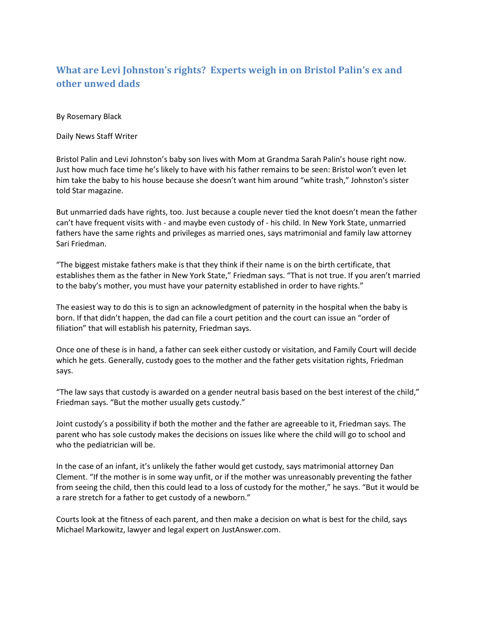## **What are Levi Johnston's rights? Experts weigh in on Bristol Palin's ex and other unwed dads**

By Rosemary Black

Daily News Staff Writer

[Bristol Palin](http://www.nydailynews.com/topics/Bristol+Palin) an[d Levi Johnston](http://www.nydailynews.com/topics/Levi+Johnston)'s baby son lives with Mom at Grandma [Sarah Palin](http://www.nydailynews.com/topics/Sarah+Palin)'s house right now. Just how much face time he's likely to have with his father remains to be seen: Bristol won't even let him take the baby to his house because she doesn't want him around "white trash," Johnston's sister told [Star magazine.](http://www.nydailynews.com/topics/Star+Magazine)

But unmarried dads have rights, too. Just because a couple never tied the knot doesn't mean the father can't have frequent visits with - and maybe even custody of - his child. In [New York State,](http://www.nydailynews.com/topics/New+York) unmarried fathers have the same rights and privileges as married ones, says matrimonial and family law attorney [Sari Friedman.](http://www.nydailynews.com/topics/Sari+Friedman)

"The biggest mistake fathers make is that they think if their name is on the birth certificate, that establishes them as the father in New York State," Friedman says. "That is not true. If you aren't married to the baby's mother, you must have your paternity established in order to have rights."

The easiest way to do this is to sign an acknowledgment of paternity in the hospital when the baby is born. If that didn't happen, the dad can file a court petition and the court can issue an "order of filiation" that will establish his paternity, Friedman says.

Once one of these is in hand, a father can seek either custody or visitation, and Family Court will decide which he gets. Generally, custody goes to the mother and the father gets visitation rights, Friedman says.

"The law says that custody is awarded on a gender neutral basis based on the best interest of the child," Friedman says. "But the mother usually gets custody."

Joint custody's a possibility if both the mother and the father are agreeable to it, Friedman says. The parent who has sole custody makes the decisions on issues like where the child will go to school and who the pediatrician will be.

In the case of an infant, it's unlikely the father would get custody, says matrimonial attorney [Dan](http://www.nydailynews.com/topics/Dan+Clement)  [Clement](http://www.nydailynews.com/topics/Dan+Clement). "If the mother is in some way unfit, or if the mother was unreasonably preventing the father from seeing the child, then this could lead to a loss of custody for the mother," he says. "But it would be a rare stretch for a father to get custody of a newborn."

Courts look at the fitness of each parent, and then make a decision on what is best for the child, says [Michael Markowitz,](http://www.nydailynews.com/topics/Michael+Markowitz) lawyer and legal expert on [JustAnswer.com.](http://www.nydailynews.com/topics/JustAnswer.com)